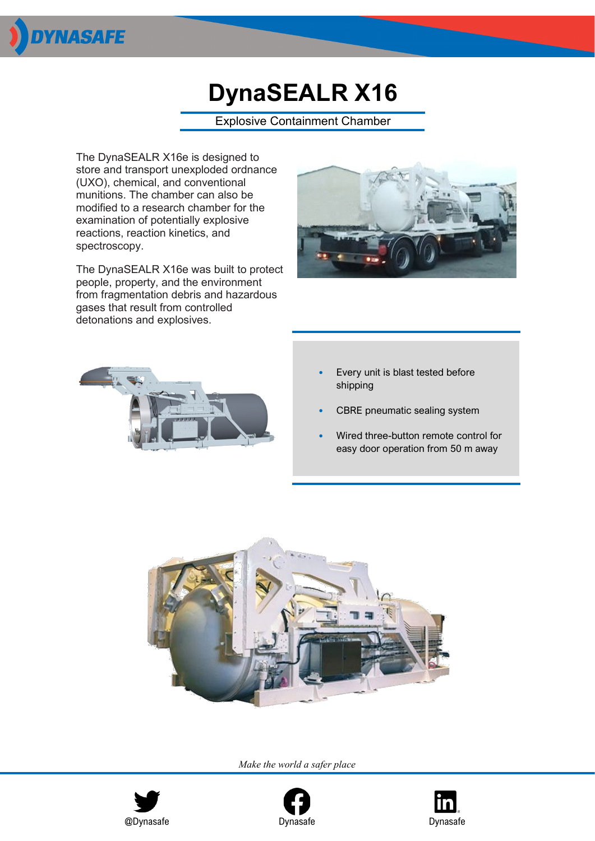

# **DynaSEALR X16**

Explosive Containment Chamber

The DynaSEALR X16e is designed to store and transport unexploded ordnance (UXO), chemical, and conventional munitions. The chamber can also be modified to a research chamber for the examination of potentially explosive reactions, reaction kinetics, and spectroscopy.

The DynaSEALR X16e was built to protect people, property, and the environment from fragmentation debris and hazardous gases that result from controlled detonations and explosives.





- Every unit is blast tested before shipping
- CBRE pneumatic sealing system
- Wired three-button remote control for easy door operation from 50 m away



*Make the world a safer place*